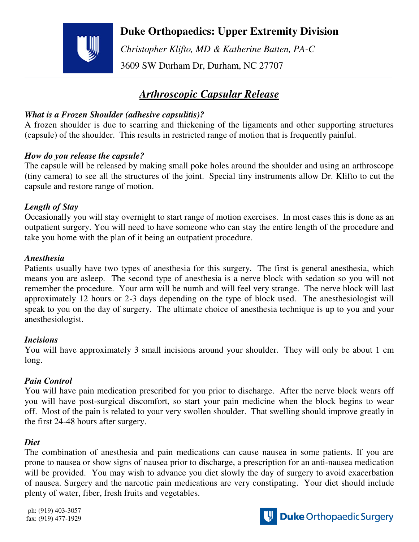

### **Duke Orthopaedics: Upper Extremity Division**

 *Christopher Klifto, MD & Katherine Batten, PA-C*  3609 SW Durham Dr, Durham, NC 27707

# *Arthroscopic Capsular Release*

### *What is a Frozen Shoulder (adhesive capsulitis)?*

A frozen shoulder is due to scarring and thickening of the ligaments and other supporting structures (capsule) of the shoulder. This results in restricted range of motion that is frequently painful.

#### *How do you release the capsule?*

The capsule will be released by making small poke holes around the shoulder and using an arthroscope (tiny camera) to see all the structures of the joint. Special tiny instruments allow Dr. Klifto to cut the capsule and restore range of motion.

#### *Length of Stay*

Occasionally you will stay overnight to start range of motion exercises. In most cases this is done as an outpatient surgery. You will need to have someone who can stay the entire length of the procedure and take you home with the plan of it being an outpatient procedure.

#### *Anesthesia*

Patients usually have two types of anesthesia for this surgery. The first is general anesthesia, which means you are asleep. The second type of anesthesia is a nerve block with sedation so you will not remember the procedure. Your arm will be numb and will feel very strange. The nerve block will last approximately 12 hours or 2-3 days depending on the type of block used. The anesthesiologist will speak to you on the day of surgery. The ultimate choice of anesthesia technique is up to you and your anesthesiologist.

#### *Incisions*

You will have approximately 3 small incisions around your shoulder. They will only be about 1 cm long.

#### *Pain Control*

You will have pain medication prescribed for you prior to discharge. After the nerve block wears off you will have post-surgical discomfort, so start your pain medicine when the block begins to wear off. Most of the pain is related to your very swollen shoulder. That swelling should improve greatly in the first 24-48 hours after surgery.

#### *Diet*

The combination of anesthesia and pain medications can cause nausea in some patients. If you are prone to nausea or show signs of nausea prior to discharge, a prescription for an anti-nausea medication will be provided. You may wish to advance you diet slowly the day of surgery to avoid exacerbation of nausea. Surgery and the narcotic pain medications are very constipating. Your diet should include plenty of water, fiber, fresh fruits and vegetables.

ph: (919) 403-3057 fax: (919) 477-1929